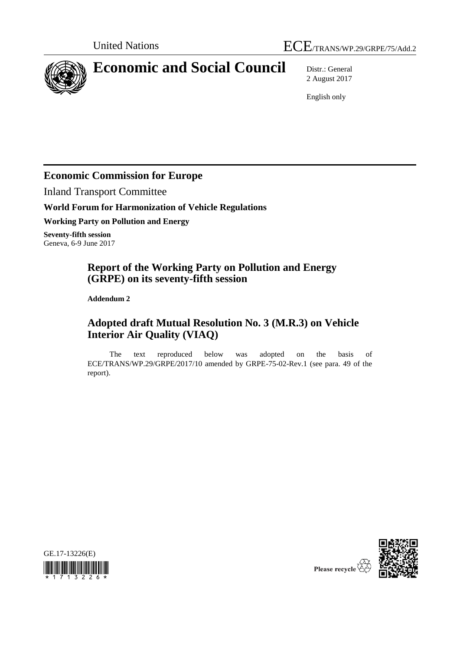

# **Economic and Social Council** Distr.: General

2 August 2017

English only

### **Economic Commission for Europe**

Inland Transport Committee

#### **World Forum for Harmonization of Vehicle Regulations**

**Working Party on Pollution and Energy**

**Seventy-fifth session** Geneva, 6-9 June 2017

### **Report of the Working Party on Pollution and Energy (GRPE) on its seventy-fifth session**

**Addendum 2**

## **Adopted draft Mutual Resolution No. 3 (M.R.3) on Vehicle Interior Air Quality (VIAQ)**

The text reproduced below was adopted on the basis of ECE/TRANS/WP.29/GRPE/2017/10 amended by GRPE-75-02-Rev.1 (see para. 49 of the report).





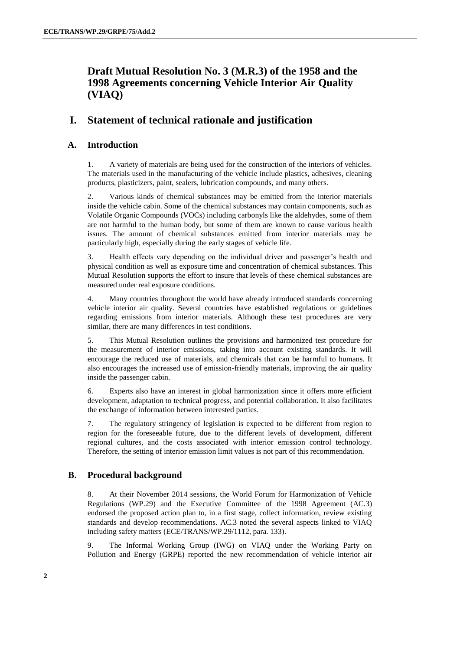### **Draft Mutual Resolution No. 3 (M.R.3) of the 1958 and the 1998 Agreements concerning Vehicle Interior Air Quality (VIAQ)**

### **I. Statement of technical rationale and justification**

#### **A. Introduction**

1. A variety of materials are being used for the construction of the interiors of vehicles. The materials used in the manufacturing of the vehicle include plastics, adhesives, cleaning products, plasticizers, paint, sealers, lubrication compounds, and many others.

2. Various kinds of chemical substances may be emitted from the interior materials inside the vehicle cabin. Some of the chemical substances may contain components, such as Volatile Organic Compounds (VOCs) including carbonyls like the aldehydes, some of them are not harmful to the human body, but some of them are known to cause various health issues. The amount of chemical substances emitted from interior materials may be particularly high, especially during the early stages of vehicle life.

3. Health effects vary depending on the individual driver and passenger's health and physical condition as well as exposure time and concentration of chemical substances. This Mutual Resolution supports the effort to insure that levels of these chemical substances are measured under real exposure conditions.

4. Many countries throughout the world have already introduced standards concerning vehicle interior air quality. Several countries have established regulations or guidelines regarding emissions from interior materials. Although these test procedures are very similar, there are many differences in test conditions.

5. This Mutual Resolution outlines the provisions and harmonized test procedure for the measurement of interior emissions, taking into account existing standards. It will encourage the reduced use of materials, and chemicals that can be harmful to humans. It also encourages the increased use of emission-friendly materials, improving the air quality inside the passenger cabin.

6. Experts also have an interest in global harmonization since it offers more efficient development, adaptation to technical progress, and potential collaboration. It also facilitates the exchange of information between interested parties.

7. The regulatory stringency of legislation is expected to be different from region to region for the foreseeable future, due to the different levels of development, different regional cultures, and the costs associated with interior emission control technology. Therefore, the setting of interior emission limit values is not part of this recommendation.

#### **B. Procedural background**

8. At their November 2014 sessions, the World Forum for Harmonization of Vehicle Regulations (WP.29) and the Executive Committee of the 1998 Agreement (AC.3) endorsed the proposed action plan to, in a first stage, collect information, review existing standards and develop recommendations. AC.3 noted the several aspects linked to VIAQ including safety matters (ECE/TRANS/WP.29/1112, para. 133).

9. The Informal Working Group (IWG) on VIAQ under the Working Party on Pollution and Energy (GRPE) reported the new recommendation of vehicle interior air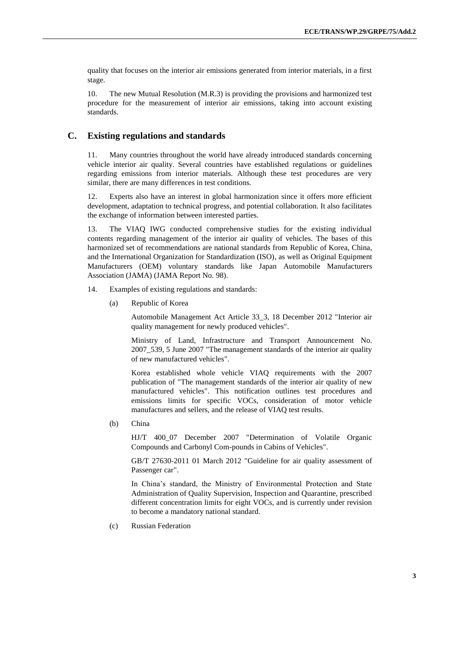quality that focuses on the interior air emissions generated from interior materials, in a first stage.

10. The new Mutual Resolution (M.R.3) is providing the provisions and harmonized test procedure for the measurement of interior air emissions, taking into account existing standards.

#### **C. Existing regulations and standards**

11. Many countries throughout the world have already introduced standards concerning vehicle interior air quality. Several countries have established regulations or guidelines regarding emissions from interior materials. Although these test procedures are very similar, there are many differences in test conditions.

12. Experts also have an interest in global harmonization since it offers more efficient development, adaptation to technical progress, and potential collaboration. It also facilitates the exchange of information between interested parties.

13. The VIAQ IWG conducted comprehensive studies for the existing individual contents regarding management of the interior air quality of vehicles. The bases of this harmonized set of recommendations are national standards from Republic of Korea, China, and the International Organization for Standardization (ISO), as well as Original Equipment Manufacturers (OEM) voluntary standards like Japan Automobile Manufacturers Association (JAMA) (JAMA Report No. 98).

- 14. Examples of existing regulations and standards:
	- (a) Republic of Korea

Automobile Management Act Article 33\_3, 18 December 2012 "Interior air quality management for newly produced vehicles".

Ministry of Land, Infrastructure and Transport Announcement No. 2007\_539, 5 June 2007 "The management standards of the interior air quality of new manufactured vehicles".

Korea established whole vehicle VIAQ requirements with the 2007 publication of "The management standards of the interior air quality of new manufactured vehicles". This notification outlines test procedures and emissions limits for specific VOCs, consideration of motor vehicle manufactures and sellers, and the release of VIAQ test results.

(b) China

HJ/T 400\_07 December 2007 "Determination of Volatile Organic Compounds and Carbonyl Com-pounds in Cabins of Vehicles".

GB/T 27630-2011 01 March 2012 "Guideline for air quality assessment of Passenger car".

In China's standard, the Ministry of Environmental Protection and State Administration of Quality Supervision, Inspection and Quarantine, prescribed different concentration limits for eight VOCs, and is currently under revision to become a mandatory national standard.

(c) Russian Federation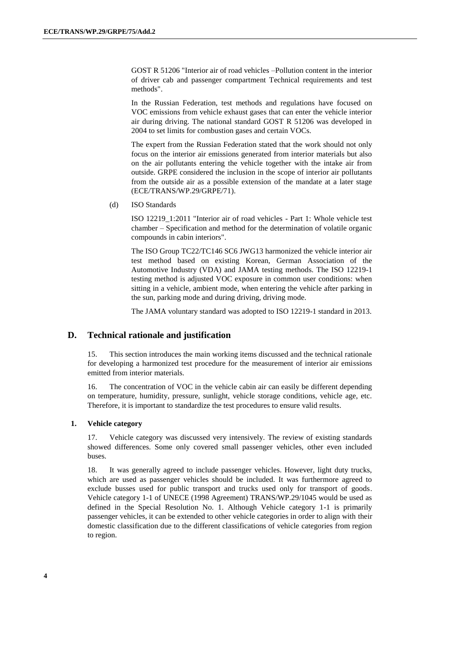GOST R 51206 "Interior air of road vehicles –Pollution content in the interior of driver cab and passenger compartment Technical requirements and test methods".

In the Russian Federation, test methods and regulations have focused on VOC emissions from vehicle exhaust gases that can enter the vehicle interior air during driving. The national standard GOST R 51206 was developed in 2004 to set limits for combustion gases and certain VOCs.

The expert from the Russian Federation stated that the work should not only focus on the interior air emissions generated from interior materials but also on the air pollutants entering the vehicle together with the intake air from outside. GRPE considered the inclusion in the scope of interior air pollutants from the outside air as a possible extension of the mandate at a later stage (ECE/TRANS/WP.29/GRPE/71).

(d) ISO Standards

ISO 12219\_1:2011 "Interior air of road vehicles - Part 1: Whole vehicle test chamber – Specification and method for the determination of volatile organic compounds in cabin interiors".

The ISO Group TC22/TC146 SC6 JWG13 harmonized the vehicle interior air test method based on existing Korean, German Association of the Automotive Industry (VDA) and JAMA testing methods. The ISO 12219-1 testing method is adjusted VOC exposure in common user conditions: when sitting in a vehicle, ambient mode, when entering the vehicle after parking in the sun, parking mode and during driving, driving mode.

The JAMA voluntary standard was adopted to ISO 12219-1 standard in 2013.

#### **D. Technical rationale and justification**

15. This section introduces the main working items discussed and the technical rationale for developing a harmonized test procedure for the measurement of interior air emissions emitted from interior materials.

16. The concentration of VOC in the vehicle cabin air can easily be different depending on temperature, humidity, pressure, sunlight, vehicle storage conditions, vehicle age, etc. Therefore, it is important to standardize the test procedures to ensure valid results.

#### **1. Vehicle category**

17. Vehicle category was discussed very intensively. The review of existing standards showed differences. Some only covered small passenger vehicles, other even included buses.

18. It was generally agreed to include passenger vehicles. However, light duty trucks, which are used as passenger vehicles should be included. It was furthermore agreed to exclude busses used for public transport and trucks used only for transport of goods. Vehicle category 1-1 of UNECE (1998 Agreement) TRANS/WP.29/1045 would be used as defined in the Special Resolution No. 1. Although Vehicle category 1-1 is primarily passenger vehicles, it can be extended to other vehicle categories in order to align with their domestic classification due to the different classifications of vehicle categories from region to region.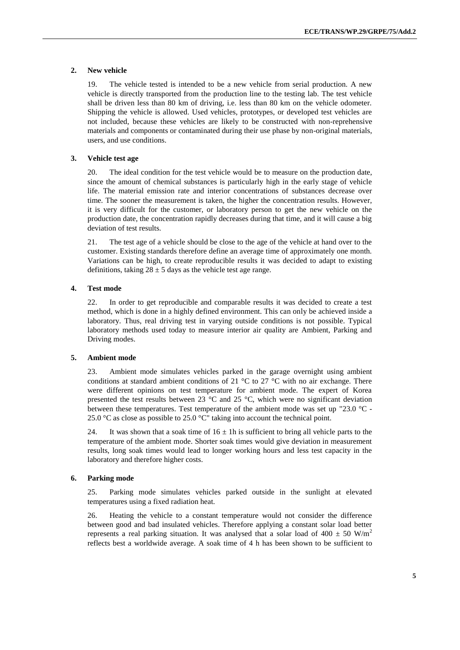#### **2. New vehicle**

19. The vehicle tested is intended to be a new vehicle from serial production. A new vehicle is directly transported from the production line to the testing lab. The test vehicle shall be driven less than 80 km of driving, i.e. less than 80 km on the vehicle odometer. Shipping the vehicle is allowed. Used vehicles, prototypes, or developed test vehicles are not included, because these vehicles are likely to be constructed with non-reprehensive materials and components or contaminated during their use phase by non-original materials, users, and use conditions.

#### **3. Vehicle test age**

20. The ideal condition for the test vehicle would be to measure on the production date, since the amount of chemical substances is particularly high in the early stage of vehicle life. The material emission rate and interior concentrations of substances decrease over time. The sooner the measurement is taken, the higher the concentration results. However, it is very difficult for the customer, or laboratory person to get the new vehicle on the production date, the concentration rapidly decreases during that time, and it will cause a big deviation of test results.

21. The test age of a vehicle should be close to the age of the vehicle at hand over to the customer. Existing standards therefore define an average time of approximately one month. Variations can be high, to create reproducible results it was decided to adapt to existing definitions, taking  $28 \pm 5$  days as the vehicle test age range.

#### **4. Test mode**

22. In order to get reproducible and comparable results it was decided to create a test method, which is done in a highly defined environment. This can only be achieved inside a laboratory. Thus, real driving test in varying outside conditions is not possible. Typical laboratory methods used today to measure interior air quality are Ambient, Parking and Driving modes.

#### **5. Ambient mode**

23. Ambient mode simulates vehicles parked in the garage overnight using ambient conditions at standard ambient conditions of 21  $\degree$ C to 27  $\degree$ C with no air exchange. There were different opinions on test temperature for ambient mode. The expert of Korea presented the test results between 23 °C and 25 °C, which were no significant deviation between these temperatures. Test temperature of the ambient mode was set up "23.0 °C - 25.0  $\degree$ C as close as possible to 25.0  $\degree$ C" taking into account the technical point.

24. It was shown that a soak time of  $16 \pm 1$ h is sufficient to bring all vehicle parts to the temperature of the ambient mode. Shorter soak times would give deviation in measurement results, long soak times would lead to longer working hours and less test capacity in the laboratory and therefore higher costs.

#### **6. Parking mode**

25. Parking mode simulates vehicles parked outside in the sunlight at elevated temperatures using a fixed radiation heat.

26. Heating the vehicle to a constant temperature would not consider the difference between good and bad insulated vehicles. Therefore applying a constant solar load better represents a real parking situation. It was analysed that a solar load of 400  $\pm$  50 W/m<sup>2</sup> reflects best a worldwide average. A soak time of 4 h has been shown to be sufficient to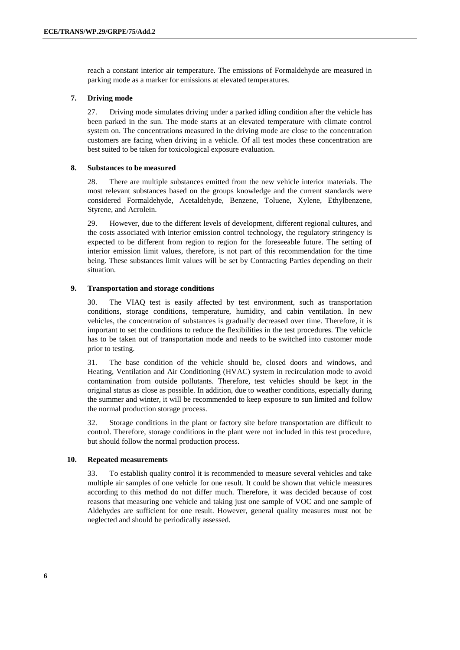reach a constant interior air temperature. The emissions of Formaldehyde are measured in parking mode as a marker for emissions at elevated temperatures.

#### **7. Driving mode**

27. Driving mode simulates driving under a parked idling condition after the vehicle has been parked in the sun. The mode starts at an elevated temperature with climate control system on. The concentrations measured in the driving mode are close to the concentration customers are facing when driving in a vehicle. Of all test modes these concentration are best suited to be taken for toxicological exposure evaluation.

#### **8. Substances to be measured**

28. There are multiple substances emitted from the new vehicle interior materials. The most relevant substances based on the groups knowledge and the current standards were considered Formaldehyde, Acetaldehyde, Benzene, Toluene, Xylene, Ethylbenzene, Styrene, and Acrolein.

29. However, due to the different levels of development, different regional cultures, and the costs associated with interior emission control technology, the regulatory stringency is expected to be different from region to region for the foreseeable future. The setting of interior emission limit values, therefore, is not part of this recommendation for the time being. These substances limit values will be set by Contracting Parties depending on their situation.

#### **9. Transportation and storage conditions**

30. The VIAQ test is easily affected by test environment, such as transportation conditions, storage conditions, temperature, humidity, and cabin ventilation. In new vehicles, the concentration of substances is gradually decreased over time. Therefore, it is important to set the conditions to reduce the flexibilities in the test procedures. The vehicle has to be taken out of transportation mode and needs to be switched into customer mode prior to testing.

31. The base condition of the vehicle should be, closed doors and windows, and Heating, Ventilation and Air Conditioning (HVAC) system in recirculation mode to avoid contamination from outside pollutants. Therefore, test vehicles should be kept in the original status as close as possible. In addition, due to weather conditions, especially during the summer and winter, it will be recommended to keep exposure to sun limited and follow the normal production storage process.

32. Storage conditions in the plant or factory site before transportation are difficult to control. Therefore, storage conditions in the plant were not included in this test procedure, but should follow the normal production process.

#### **10. Repeated measurements**

33. To establish quality control it is recommended to measure several vehicles and take multiple air samples of one vehicle for one result. It could be shown that vehicle measures according to this method do not differ much. Therefore, it was decided because of cost reasons that measuring one vehicle and taking just one sample of VOC and one sample of Aldehydes are sufficient for one result. However, general quality measures must not be neglected and should be periodically assessed.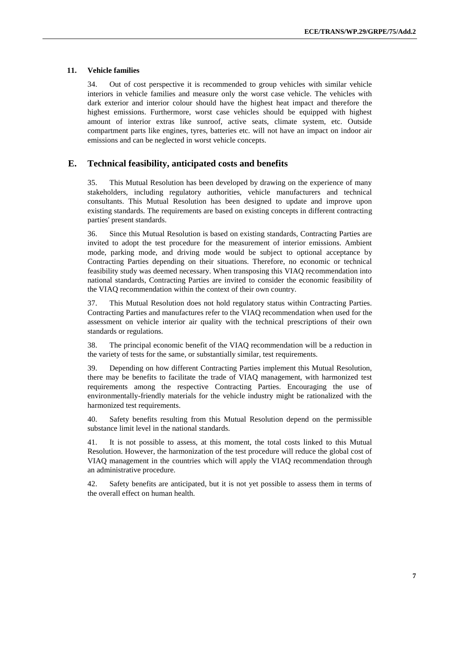#### **11. Vehicle families**

34. Out of cost perspective it is recommended to group vehicles with similar vehicle interiors in vehicle families and measure only the worst case vehicle. The vehicles with dark exterior and interior colour should have the highest heat impact and therefore the highest emissions. Furthermore, worst case vehicles should be equipped with highest amount of interior extras like sunroof, active seats, climate system, etc. Outside compartment parts like engines, tyres, batteries etc. will not have an impact on indoor air emissions and can be neglected in worst vehicle concepts.

#### **E. Technical feasibility, anticipated costs and benefits**

35. This Mutual Resolution has been developed by drawing on the experience of many stakeholders, including regulatory authorities, vehicle manufacturers and technical consultants. This Mutual Resolution has been designed to update and improve upon existing standards. The requirements are based on existing concepts in different contracting parties' present standards.

36. Since this Mutual Resolution is based on existing standards, Contracting Parties are invited to adopt the test procedure for the measurement of interior emissions. Ambient mode, parking mode, and driving mode would be subject to optional acceptance by Contracting Parties depending on their situations. Therefore, no economic or technical feasibility study was deemed necessary. When transposing this VIAQ recommendation into national standards, Contracting Parties are invited to consider the economic feasibility of the VIAQ recommendation within the context of their own country.

37. This Mutual Resolution does not hold regulatory status within Contracting Parties. Contracting Parties and manufactures refer to the VIAQ recommendation when used for the assessment on vehicle interior air quality with the technical prescriptions of their own standards or regulations.

38. The principal economic benefit of the VIAQ recommendation will be a reduction in the variety of tests for the same, or substantially similar, test requirements.

39. Depending on how different Contracting Parties implement this Mutual Resolution, there may be benefits to facilitate the trade of VIAQ management, with harmonized test requirements among the respective Contracting Parties. Encouraging the use of environmentally-friendly materials for the vehicle industry might be rationalized with the harmonized test requirements.

40. Safety benefits resulting from this Mutual Resolution depend on the permissible substance limit level in the national standards.

41. It is not possible to assess, at this moment, the total costs linked to this Mutual Resolution. However, the harmonization of the test procedure will reduce the global cost of VIAQ management in the countries which will apply the VIAQ recommendation through an administrative procedure.

42. Safety benefits are anticipated, but it is not yet possible to assess them in terms of the overall effect on human health.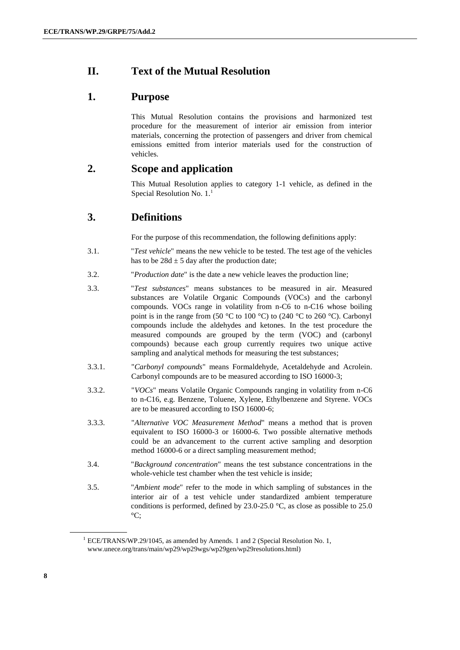### **II. Text of the Mutual Resolution**

### **1. Purpose**

This Mutual Resolution contains the provisions and harmonized test procedure for the measurement of interior air emission from interior materials, concerning the protection of passengers and driver from chemical emissions emitted from interior materials used for the construction of vehicles.

### **2. Scope and application**

This Mutual Resolution applies to category 1-1 vehicle, as defined in the Special Resolution No.  $1<sup>1</sup>$ 

### **3. Definitions**

For the purpose of this recommendation, the following definitions apply:

- 3.1. "*Test vehicle*" means the new vehicle to be tested. The test age of the vehicles has to be  $28d \pm 5$  day after the production date:
- 3.2. "*Production date*" is the date a new vehicle leaves the production line;
- 3.3. "*Test substances*" means substances to be measured in air. Measured substances are Volatile Organic Compounds (VOCs) and the carbonyl compounds. VOCs range in volatility from n-C6 to n-C16 whose boiling point is in the range from (50 °C to 100 °C) to (240 °C to 260 °C). Carbonyl compounds include the aldehydes and ketones. In the test procedure the measured compounds are grouped by the term (VOC) and (carbonyl compounds) because each group currently requires two unique active sampling and analytical methods for measuring the test substances;
- 3.3.1. "*Carbonyl compounds*" means Formaldehyde, Acetaldehyde and Acrolein. Carbonyl compounds are to be measured according to ISO 16000-3;
- 3.3.2. "*VOCs*" means Volatile Organic Compounds ranging in volatility from n-C6 to n-C16, e.g. Benzene, Toluene, Xylene, Ethylbenzene and Styrene. VOCs are to be measured according to ISO 16000-6;
- 3.3.3. "*Alternative VOC Measurement Method*" means a method that is proven equivalent to ISO 16000-3 or 16000-6. Two possible alternative methods could be an advancement to the current active sampling and desorption method 16000-6 or a direct sampling measurement method;
- 3.4. "*Background concentration*" means the test substance concentrations in the whole-vehicle test chamber when the test vehicle is inside;
- 3.5. "*Ambient mode*" refer to the mode in which sampling of substances in the interior air of a test vehicle under standardized ambient temperature conditions is performed, defined by 23.0-25.0 °C, as close as possible to 25.0  $\mathrm{^{\circ}C:}$

 $1$  ECE/TRANS/WP.29/1045, as amended by Amends. 1 and 2 (Special Resolution No. 1, www.unece.org/trans/main/wp29/wp29wgs/wp29gen/wp29resolutions.html)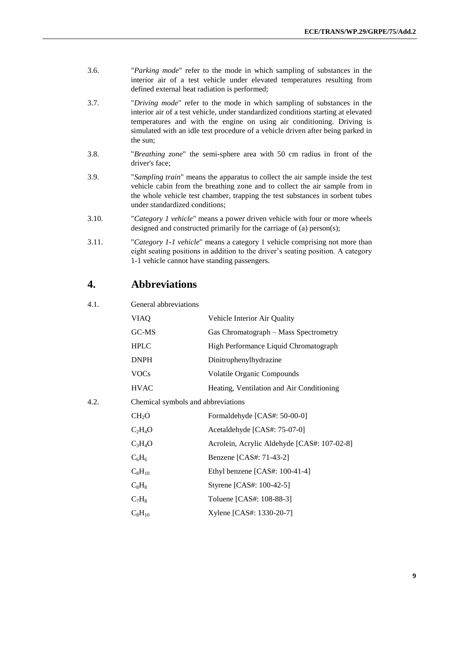- 3.6. "*Parking mode*" refer to the mode in which sampling of substances in the interior air of a test vehicle under elevated temperatures resulting from defined external heat radiation is performed;
- 3.7. "*Driving mode*" refer to the mode in which sampling of substances in the interior air of a test vehicle, under standardized conditions starting at elevated temperatures and with the engine on using air conditioning. Driving is simulated with an idle test procedure of a vehicle driven after being parked in the sun;
- 3.8. "*Breathing zone*" the semi-sphere area with 50 cm radius in front of the driver's face;
- 3.9. "*Sampling train*" means the apparatus to collect the air sample inside the test vehicle cabin from the breathing zone and to collect the air sample from in the whole vehicle test chamber, trapping the test substances in sorbent tubes under standardized conditions;
- 3.10. "*Category 1 vehicle*" means a power driven vehicle with four or more wheels designed and constructed primarily for the carriage of (a) person(s);
- 3.11. "*Category 1-1 vehicle*" means a category 1 vehicle comprising not more than eight seating positions in addition to the driver's seating position. A category 1-1 vehicle cannot have standing passengers.

#### **4. Abbreviations**

#### 4.1. General abbreviations

|      | <b>VIAQ</b>                        | Vehicle Interior Air Quality                |  |  |  |  |  |
|------|------------------------------------|---------------------------------------------|--|--|--|--|--|
|      | GC-MS                              | Gas Chromatograph – Mass Spectrometry       |  |  |  |  |  |
|      | <b>HPLC</b>                        | High Performance Liquid Chromatograph       |  |  |  |  |  |
|      | <b>DNPH</b>                        | Dinitrophenylhydrazine                      |  |  |  |  |  |
|      | <b>VOCs</b>                        | Volatile Organic Compounds                  |  |  |  |  |  |
|      | <b>HVAC</b>                        | Heating, Ventilation and Air Conditioning   |  |  |  |  |  |
| 4.2. | Chemical symbols and abbreviations |                                             |  |  |  |  |  |
|      | CH <sub>2</sub> O                  | Formaldehyde [CAS#: 50-00-0]                |  |  |  |  |  |
|      | $C_2H_4O$                          | Acetaldehyde [CAS#: 75-07-0]                |  |  |  |  |  |
|      | $C_3H_4O$                          | Acrolein, Acrylic Aldehyde [CAS#: 107-02-8] |  |  |  |  |  |
|      | $C_6H_6$                           | Benzene [CAS#: 71-43-2]                     |  |  |  |  |  |
|      | $C_8H_{10}$                        | Ethyl benzene $[CAS#: 100-41-4]$            |  |  |  |  |  |
|      | $C_8H_8$                           | Styrene [CAS#: 100-42-5]                    |  |  |  |  |  |
|      | $C_7H_8$                           | Toluene [CAS#: 108-88-3]                    |  |  |  |  |  |
|      | $C_8H_{10}$                        | Xylene [CAS#: 1330-20-7]                    |  |  |  |  |  |
|      |                                    |                                             |  |  |  |  |  |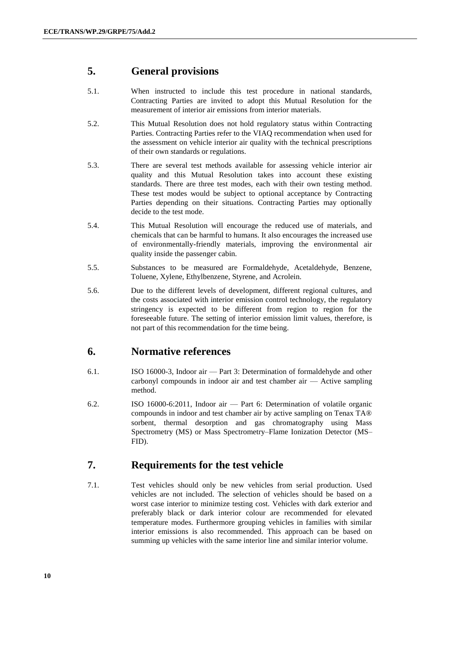### **5. General provisions**

- 5.1. When instructed to include this test procedure in national standards, Contracting Parties are invited to adopt this Mutual Resolution for the measurement of interior air emissions from interior materials.
- 5.2. This Mutual Resolution does not hold regulatory status within Contracting Parties. Contracting Parties refer to the VIAQ recommendation when used for the assessment on vehicle interior air quality with the technical prescriptions of their own standards or regulations.
- 5.3. There are several test methods available for assessing vehicle interior air quality and this Mutual Resolution takes into account these existing standards. There are three test modes, each with their own testing method. These test modes would be subject to optional acceptance by Contracting Parties depending on their situations. Contracting Parties may optionally decide to the test mode.
- 5.4. This Mutual Resolution will encourage the reduced use of materials, and chemicals that can be harmful to humans. It also encourages the increased use of environmentally-friendly materials, improving the environmental air quality inside the passenger cabin.
- 5.5. Substances to be measured are Formaldehyde, Acetaldehyde, Benzene, Toluene, Xylene, Ethylbenzene, Styrene, and Acrolein.
- 5.6. Due to the different levels of development, different regional cultures, and the costs associated with interior emission control technology, the regulatory stringency is expected to be different from region to region for the foreseeable future. The setting of interior emission limit values, therefore, is not part of this recommendation for the time being.

### **6. Normative references**

- 6.1. ISO 16000-3, Indoor air Part 3: Determination of formaldehyde and other carbonyl compounds in indoor air and test chamber air — Active sampling method.
- 6.2. ISO 16000-6:2011, Indoor air Part 6: Determination of volatile organic compounds in indoor and test chamber air by active sampling on Tenax TA® sorbent, thermal desorption and gas chromatography using Mass Spectrometry (MS) or Mass Spectrometry–Flame Ionization Detector (MS– FID).

### **7. Requirements for the test vehicle**

7.1. Test vehicles should only be new vehicles from serial production. Used vehicles are not included. The selection of vehicles should be based on a worst case interior to minimize testing cost. Vehicles with dark exterior and preferably black or dark interior colour are recommended for elevated temperature modes. Furthermore grouping vehicles in families with similar interior emissions is also recommended. This approach can be based on summing up vehicles with the same interior line and similar interior volume.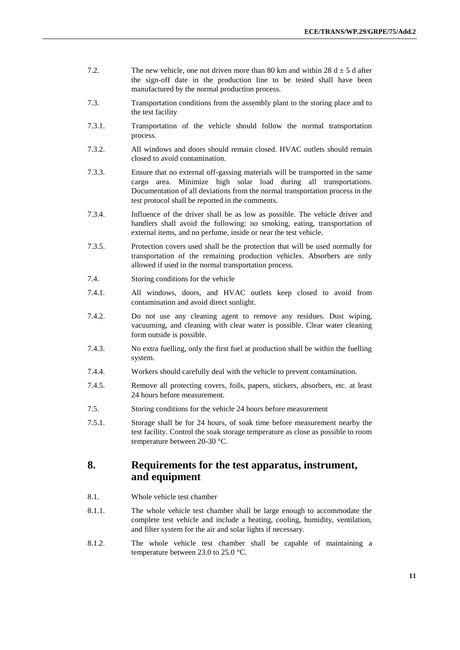- 7.2. The new vehicle, one not driven more than 80 km and within 28  $d \pm 5$  d after the sign-off date in the production line to be tested shall have been manufactured by the normal production process.
- 7.3. Transportation conditions from the assembly plant to the storing place and to the test facility
- 7.3.1. Transportation of the vehicle should follow the normal transportation process.
- 7.3.2. All windows and doors should remain closed. HVAC outlets should remain closed to avoid contamination.
- 7.3.3. Ensure that no external off-gassing materials will be transported in the same cargo area. Minimize high solar load during all transportations. Documentation of all deviations from the normal transportation process in the test protocol shall be reported in the comments.
- 7.3.4. Influence of the driver shall be as low as possible. The vehicle driver and handlers shall avoid the following: no smoking, eating, transportation of external items, and no perfume, inside or near the test vehicle.
- 7.3.5. Protection covers used shall be the protection that will be used normally for transportation of the remaining production vehicles. Absorbers are only allowed if used in the normal transportation process.
- 7.4. Storing conditions for the vehicle
- 7.4.1. All windows, doors, and HVAC outlets keep closed to avoid from contamination and avoid direct sunlight.
- 7.4.2. Do not use any cleaning agent to remove any residues. Dust wiping, vacuuming, and cleaning with clear water is possible. Clear water cleaning form outside is possible.
- 7.4.3. No extra fuelling, only the first fuel at production shall be within the fuelling system.
- 7.4.4. Workers should carefully deal with the vehicle to prevent contamination.
- 7.4.5. Remove all protecting covers, foils, papers, stickers, absorbers, etc. at least 24 hours before measurement.
- 7.5. Storing conditions for the vehicle 24 hours before measurement
- 7.5.1. Storage shall be for 24 hours, of soak time before measurement nearby the test facility. Control the soak storage temperature as close as possible to room temperature between 20-30 °C.

### **8. Requirements for the test apparatus, instrument, and equipment**

- 8.1. Whole vehicle test chamber
- 8.1.1. The whole vehicle test chamber shall be large enough to accommodate the complete test vehicle and include a heating, cooling, humidity, ventilation, and filter system for the air and solar lights if necessary.
- 8.1.2. The whole vehicle test chamber shall be capable of maintaining a temperature between 23.0 to 25.0 °C.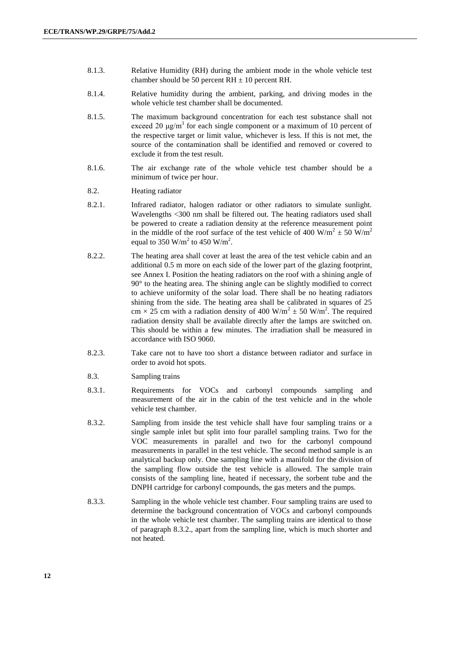- 8.1.3. Relative Humidity (RH) during the ambient mode in the whole vehicle test chamber should be 50 percent  $RH \pm 10$  percent RH.
- 8.1.4. Relative humidity during the ambient, parking, and driving modes in the whole vehicle test chamber shall be documented.
- 8.1.5. The maximum background concentration for each test substance shall not exceed 20  $\mu$ g/m<sup>3</sup> for each single component or a maximum of 10 percent of the respective target or limit value, whichever is less. If this is not met, the source of the contamination shall be identified and removed or covered to exclude it from the test result.
- 8.1.6. The air exchange rate of the whole vehicle test chamber should be a minimum of twice per hour.
- 8.2. Heating radiator
- 8.2.1. Infrared radiator, halogen radiator or other radiators to simulate sunlight. Wavelengths <300 nm shall be filtered out. The heating radiators used shall be powered to create a radiation density at the reference measurement point in the middle of the roof surface of the test vehicle of 400 W/m<sup>2</sup>  $\pm$  50 W/m<sup>2</sup> equal to 350 W/m<sup>2</sup> to 450 W/m<sup>2</sup>.
- 8.2.2. The heating area shall cover at least the area of the test vehicle cabin and an additional 0.5 m more on each side of the lower part of the glazing footprint, see Annex I. Position the heating radiators on the roof with a shining angle of 90° to the heating area. The shining angle can be slightly modified to correct to achieve uniformity of the solar load. There shall be no heating radiators shining from the side. The heating area shall be calibrated in squares of 25 cm  $\times$  25 cm with a radiation density of 400 W/m<sup>2</sup>  $\pm$  50 W/m<sup>2</sup>. The required radiation density shall be available directly after the lamps are switched on. This should be within a few minutes. The irradiation shall be measured in accordance with ISO 9060.
- 8.2.3. Take care not to have too short a distance between radiator and surface in order to avoid hot spots.
- 8.3. Sampling trains
- 8.3.1. Requirements for VOCs and carbonyl compounds sampling and measurement of the air in the cabin of the test vehicle and in the whole vehicle test chamber.
- 8.3.2. Sampling from inside the test vehicle shall have four sampling trains or a single sample inlet but split into four parallel sampling trains. Two for the VOC measurements in parallel and two for the carbonyl compound measurements in parallel in the test vehicle. The second method sample is an analytical backup only. One sampling line with a manifold for the division of the sampling flow outside the test vehicle is allowed. The sample train consists of the sampling line, heated if necessary, the sorbent tube and the DNPH cartridge for carbonyl compounds, the gas meters and the pumps.
- 8.3.3. Sampling in the whole vehicle test chamber. Four sampling trains are used to determine the background concentration of VOCs and carbonyl compounds in the whole vehicle test chamber. The sampling trains are identical to those of paragraph 8.3.2., apart from the sampling line, which is much shorter and not heated.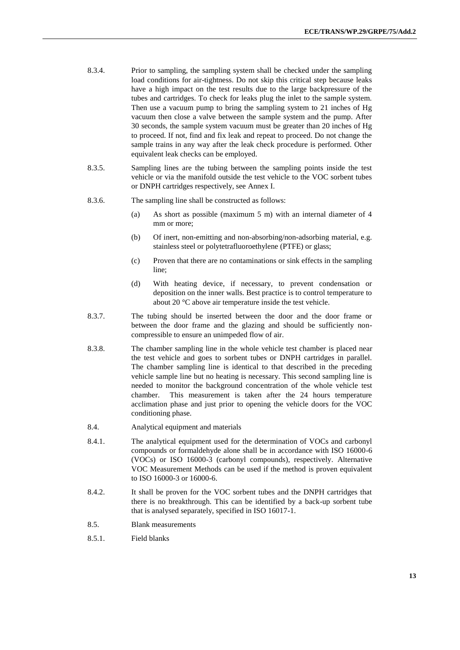- 8.3.4. Prior to sampling, the sampling system shall be checked under the sampling load conditions for air-tightness. Do not skip this critical step because leaks have a high impact on the test results due to the large backpressure of the tubes and cartridges. To check for leaks plug the inlet to the sample system. Then use a vacuum pump to bring the sampling system to 21 inches of Hg vacuum then close a valve between the sample system and the pump. After 30 seconds, the sample system vacuum must be greater than 20 inches of Hg to proceed. If not, find and fix leak and repeat to proceed. Do not change the sample trains in any way after the leak check procedure is performed. Other equivalent leak checks can be employed.
- 8.3.5. Sampling lines are the tubing between the sampling points inside the test vehicle or via the manifold outside the test vehicle to the VOC sorbent tubes or DNPH cartridges respectively, see Annex I.
- 8.3.6. The sampling line shall be constructed as follows:
	- (a) As short as possible (maximum 5 m) with an internal diameter of 4 mm or more;
	- (b) Of inert, non-emitting and non-absorbing/non-adsorbing material, e.g. stainless steel or polytetrafluoroethylene (PTFE) or glass;
	- (c) Proven that there are no contaminations or sink effects in the sampling line;
	- (d) With heating device, if necessary, to prevent condensation or deposition on the inner walls. Best practice is to control temperature to about 20 °C above air temperature inside the test vehicle.
- 8.3.7. The tubing should be inserted between the door and the door frame or between the door frame and the glazing and should be sufficiently noncompressible to ensure an unimpeded flow of air.
- 8.3.8. The chamber sampling line in the whole vehicle test chamber is placed near the test vehicle and goes to sorbent tubes or DNPH cartridges in parallel. The chamber sampling line is identical to that described in the preceding vehicle sample line but no heating is necessary. This second sampling line is needed to monitor the background concentration of the whole vehicle test chamber. This measurement is taken after the 24 hours temperature acclimation phase and just prior to opening the vehicle doors for the VOC conditioning phase.
- 8.4. Analytical equipment and materials
- 8.4.1. The analytical equipment used for the determination of VOCs and carbonyl compounds or formaldehyde alone shall be in accordance with ISO 16000-6 (VOCs) or ISO 16000-3 (carbonyl compounds), respectively. Alternative VOC Measurement Methods can be used if the method is proven equivalent to ISO 16000-3 or 16000-6.
- 8.4.2. It shall be proven for the VOC sorbent tubes and the DNPH cartridges that there is no breakthrough. This can be identified by a back-up sorbent tube that is analysed separately, specified in ISO 16017-1.
- 8.5. Blank measurements
- 8.5.1. Field blanks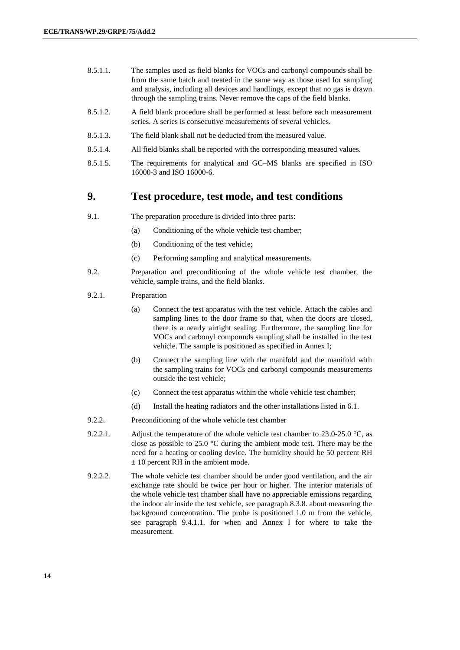- 8.5.1.1. The samples used as field blanks for VOCs and carbonyl compounds shall be from the same batch and treated in the same way as those used for sampling and analysis, including all devices and handlings, except that no gas is drawn through the sampling trains. Never remove the caps of the field blanks.
- 8.5.1.2. A field blank procedure shall be performed at least before each measurement series. A series is consecutive measurements of several vehicles.
- 8.5.1.3. The field blank shall not be deducted from the measured value.
- 8.5.1.4. All field blanks shall be reported with the corresponding measured values.
- 8.5.1.5. The requirements for analytical and GC–MS blanks are specified in ISO 16000-3 and ISO 16000-6.

#### **9. Test procedure, test mode, and test conditions**

- 9.1. The preparation procedure is divided into three parts:
	- (a) Conditioning of the whole vehicle test chamber;
	- (b) Conditioning of the test vehicle;
	- (c) Performing sampling and analytical measurements.
- 9.2. Preparation and preconditioning of the whole vehicle test chamber, the vehicle, sample trains, and the field blanks.
- 9.2.1. Preparation
	- (a) Connect the test apparatus with the test vehicle. Attach the cables and sampling lines to the door frame so that, when the doors are closed, there is a nearly airtight sealing. Furthermore, the sampling line for VOCs and carbonyl compounds sampling shall be installed in the test vehicle. The sample is positioned as specified in Annex I;
	- (b) Connect the sampling line with the manifold and the manifold with the sampling trains for VOCs and carbonyl compounds measurements outside the test vehicle;
	- (c) Connect the test apparatus within the whole vehicle test chamber;
	- (d) Install the heating radiators and the other installations listed in 6.1.
- 9.2.2. Preconditioning of the whole vehicle test chamber
- 9.2.2.1. Adjust the temperature of the whole vehicle test chamber to  $23.0$ - $25.0$  °C, as close as possible to 25.0 °C during the ambient mode test. There may be the need for a heating or cooling device. The humidity should be 50 percent RH  $± 10$  percent RH in the ambient mode.
- 9.2.2.2. The whole vehicle test chamber should be under good ventilation, and the air exchange rate should be twice per hour or higher. The interior materials of the whole vehicle test chamber shall have no appreciable emissions regarding the indoor air inside the test vehicle, see paragraph 8.3.8. about measuring the background concentration. The probe is positioned 1.0 m from the vehicle, see paragraph 9.4.1.1. for when and Annex I for where to take the measurement.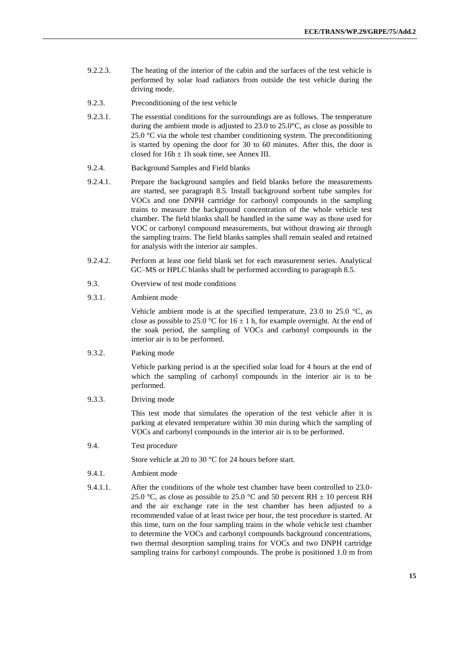- 9.2.2.3. The heating of the interior of the cabin and the surfaces of the test vehicle is performed by solar load radiators from outside the test vehicle during the driving mode.
- 9.2.3. Preconditioning of the test vehicle
- 9.2.3.1. The essential conditions for the surroundings are as follows. The temperature during the ambient mode is adjusted to 23.0 to 25.0°C, as close as possible to 25.0  $\degree$ C via the whole test chamber conditioning system. The preconditioning is started by opening the door for 30 to 60 minutes. After this, the door is closed for  $16h \pm 1h$  soak time, see Annex III.
- 9.2.4. Background Samples and Field blanks
- 9.2.4.1. Prepare the background samples and field blanks before the measurements are started, see paragraph 8.5. Install background sorbent tube samples for VOCs and one DNPH cartridge for carbonyl compounds in the sampling trains to measure the background concentration of the whole vehicle test chamber. The field blanks shall be handled in the same way as those used for VOC or carbonyl compound measurements, but without drawing air through the sampling trains. The field blanks samples shall remain sealed and retained for analysis with the interior air samples.
- 9.2.4.2. Perform at least one field blank set for each measurement series. Analytical GC–MS or HPLC blanks shall be performed according to paragraph 8.5.
- 9.3. Overview of test mode conditions
- 9.3.1. Ambient mode

Vehicle ambient mode is at the specified temperature, 23.0 to 25.0  $\degree$ C, as close as possible to 25.0 °C for  $16 \pm 1$  h, for example overnight. At the end of the soak period, the sampling of VOCs and carbonyl compounds in the interior air is to be performed.

9.3.2. Parking mode

Vehicle parking period is at the specified solar load for 4 hours at the end of which the sampling of carbonyl compounds in the interior air is to be performed.

9.3.3. Driving mode

This test mode that simulates the operation of the test vehicle after it is parking at elevated temperature within 30 min during which the sampling of VOCs and carbonyl compounds in the interior air is to be performed.

9.4. Test procedure

Store vehicle at 20 to 30 °C for 24 hours before start.

- 9.4.1. Ambient mode
- 9.4.1.1. After the conditions of the whole test chamber have been controlled to 23.0- 25.0 °C, as close as possible to 25.0 °C and 50 percent RH  $\pm$  10 percent RH and the air exchange rate in the test chamber has been adjusted to a recommended value of at least twice per hour, the test procedure is started. At this time, turn on the four sampling trains in the whole vehicle test chamber to determine the VOCs and carbonyl compounds background concentrations, two thermal desorption sampling trains for VOCs and two DNPH cartridge sampling trains for carbonyl compounds. The probe is positioned 1.0 m from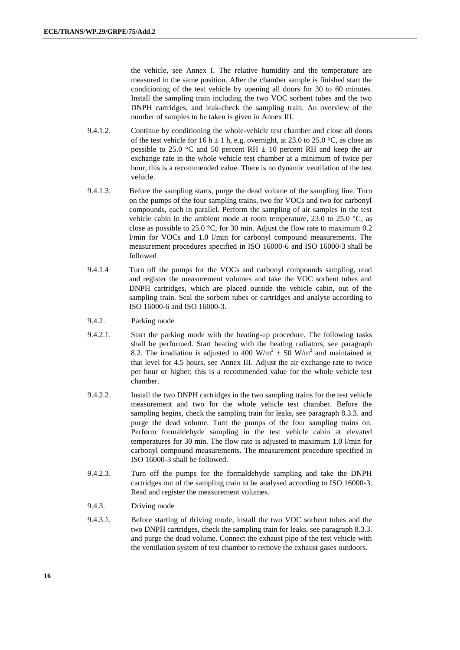the vehicle, see Annex I. The relative humidity and the temperature are measured in the same position. After the chamber sample is finished start the conditioning of the test vehicle by opening all doors for 30 to 60 minutes. Install the sampling train including the two VOC sorbent tubes and the two DNPH cartridges, and leak-check the sampling train. An overview of the number of samples to be taken is given in Annex III.

- 9.4.1.2. Continue by conditioning the whole-vehicle test chamber and close all doors of the test vehicle for 16 h  $\pm$  1 h, e.g. overnight, at 23.0 to 25.0 °C, as close as possible to 25.0 °C and 50 percent RH  $\pm$  10 percent RH and keep the air exchange rate in the whole vehicle test chamber at a minimum of twice per hour, this is a recommended value. There is no dynamic ventilation of the test vehicle.
- 9.4.1.3. Before the sampling starts, purge the dead volume of the sampling line. Turn on the pumps of the four sampling trains, two for VOCs and two for carbonyl compounds, each in parallel. Perform the sampling of air samples in the test vehicle cabin in the ambient mode at room temperature, 23.0 to 25.0  $\degree$ C, as close as possible to 25.0 °C, for 30 min. Adjust the flow rate to maximum 0.2 l/min for VOCs and 1.0 l/min for carbonyl compound measurements. The measurement procedures specified in ISO 16000-6 and ISO 16000-3 shall be followed
- 9.4.1.4 Turn off the pumps for the VOCs and carbonyl compounds sampling, read and register the measurement volumes and take the VOC sorbent tubes and DNPH cartridges, which are placed outside the vehicle cabin, out of the sampling train. Seal the sorbent tubes or cartridges and analyse according to ISO 16000-6 and ISO 16000-3.
- 9.4.2. Parking mode
- 9.4.2.1. Start the parking mode with the heating-up procedure. The following tasks shall be performed. Start heating with the heating radiators, see paragraph 8.2. The irradiation is adjusted to 400 W/m<sup>2</sup>  $\pm$  50 W/m<sup>2</sup> and maintained at that level for 4.5 hours, see Annex III. Adjust the air exchange rate to twice per hour or higher; this is a recommended value for the whole vehicle test chamber.
- 9.4.2.2. Install the two DNPH cartridges in the two sampling trains for the test vehicle measurement and two for the whole vehicle test chamber. Before the sampling begins, check the sampling train for leaks, see paragraph 8.3.3. and purge the dead volume. Turn the pumps of the four sampling trains on. Perform formaldehyde sampling in the test vehicle cabin at elevated temperatures for 30 min. The flow rate is adjusted to maximum 1.0 l/min for carbonyl compound measurements. The measurement procedure specified in ISO 16000-3 shall be followed.
- 9.4.2.3. Turn off the pumps for the formaldehyde sampling and take the DNPH cartridges out of the sampling train to be analysed according to ISO 16000-3. Read and register the measurement volumes.
- 9.4.3. Driving mode
- 9.4.3.1. Before starting of driving mode, install the two VOC sorbent tubes and the two DNPH cartridges, check the sampling train for leaks, see paragraph 8.3.3. and purge the dead volume. Connect the exhaust pipe of the test vehicle with the ventilation system of test chamber to remove the exhaust gases outdoors.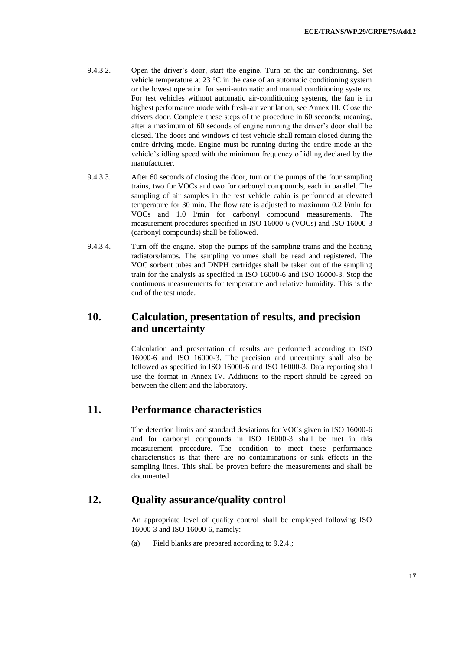- 9.4.3.2. Open the driver's door, start the engine. Turn on the air conditioning. Set vehicle temperature at 23 °C in the case of an automatic conditioning system or the lowest operation for semi-automatic and manual conditioning systems. For test vehicles without automatic air-conditioning systems, the fan is in highest performance mode with fresh-air ventilation, see Annex III. Close the drivers door. Complete these steps of the procedure in 60 seconds; meaning, after a maximum of 60 seconds of engine running the driver's door shall be closed. The doors and windows of test vehicle shall remain closed during the entire driving mode. Engine must be running during the entire mode at the vehicle's idling speed with the minimum frequency of idling declared by the manufacturer.
- 9.4.3.3. After 60 seconds of closing the door, turn on the pumps of the four sampling trains, two for VOCs and two for carbonyl compounds, each in parallel. The sampling of air samples in the test vehicle cabin is performed at elevated temperature for 30 min. The flow rate is adjusted to maximum 0.2 l/min for VOCs and 1.0 l/min for carbonyl compound measurements. The measurement procedures specified in ISO 16000-6 (VOCs) and ISO 16000-3 (carbonyl compounds) shall be followed.
- 9.4.3.4. Turn off the engine. Stop the pumps of the sampling trains and the heating radiators/lamps. The sampling volumes shall be read and registered. The VOC sorbent tubes and DNPH cartridges shall be taken out of the sampling train for the analysis as specified in ISO 16000-6 and ISO 16000-3. Stop the continuous measurements for temperature and relative humidity. This is the end of the test mode.

#### **10. Calculation, presentation of results, and precision and uncertainty**

Calculation and presentation of results are performed according to ISO 16000-6 and ISO 16000-3. The precision and uncertainty shall also be followed as specified in ISO 16000-6 and ISO 16000-3. Data reporting shall use the format in Annex IV. Additions to the report should be agreed on between the client and the laboratory.

#### **11. Performance characteristics**

The detection limits and standard deviations for VOCs given in ISO 16000-6 and for carbonyl compounds in ISO 16000-3 shall be met in this measurement procedure. The condition to meet these performance characteristics is that there are no contaminations or sink effects in the sampling lines. This shall be proven before the measurements and shall be documented.

#### **12. Quality assurance/quality control**

An appropriate level of quality control shall be employed following ISO 16000-3 and ISO 16000-6, namely:

(a) Field blanks are prepared according to 9.2.4.;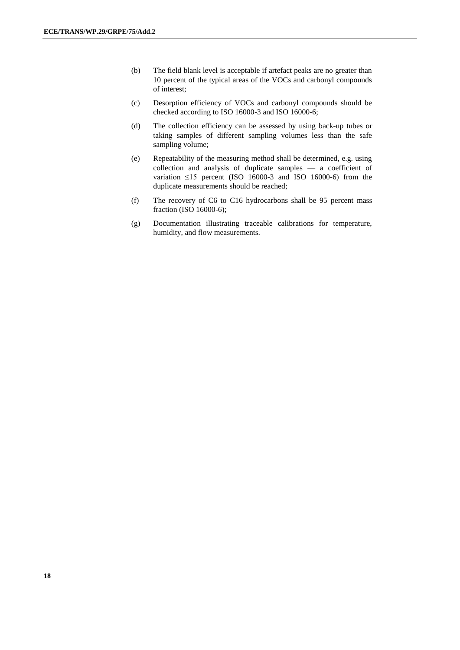- (b) The field blank level is acceptable if artefact peaks are no greater than 10 percent of the typical areas of the VOCs and carbonyl compounds of interest;
- (c) Desorption efficiency of VOCs and carbonyl compounds should be checked according to ISO 16000-3 and ISO 16000-6;
- (d) The collection efficiency can be assessed by using back-up tubes or taking samples of different sampling volumes less than the safe sampling volume;
- (e) Repeatability of the measuring method shall be determined, e.g. using collection and analysis of duplicate samples — a coefficient of variation  $\leq$ 15 percent (ISO 16000-3 and ISO 16000-6) from the duplicate measurements should be reached;
- (f) The recovery of C6 to C16 hydrocarbons shall be 95 percent mass fraction (ISO 16000-6);
- (g) Documentation illustrating traceable calibrations for temperature, humidity, and flow measurements.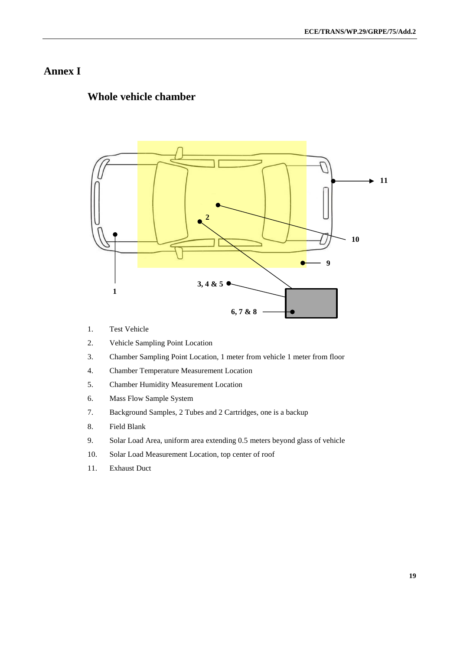### **Annex I**

#### **Whole vehicle chamber**



- 1. Test Vehicle
- 2. Vehicle Sampling Point Location
- 3. Chamber Sampling Point Location, 1 meter from vehicle 1 meter from floor
- 4. Chamber Temperature Measurement Location
- 5. Chamber Humidity Measurement Location
- 6. Mass Flow Sample System
- 7. Background Samples, 2 Tubes and 2 Cartridges, one is a backup
- 8. Field Blank
- 9. Solar Load Area, uniform area extending 0.5 meters beyond glass of vehicle
- 10. Solar Load Measurement Location, top center of roof
- 11. Exhaust Duct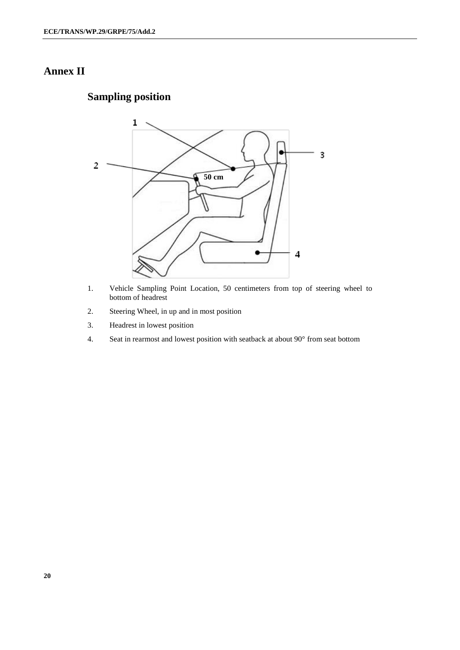# **Annex II**

# **Sampling position**



- 1. Vehicle Sampling Point Location, 50 centimeters from top of steering wheel to bottom of headrest
- 2. Steering Wheel, in up and in most position
- 3. Headrest in lowest position
- 4. Seat in rearmost and lowest position with seatback at about 90° from seat bottom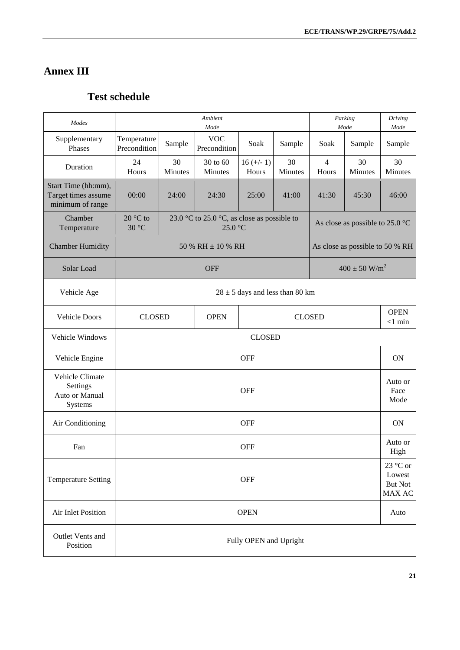# **Annex III**

# **Test schedule**

| Modes                                                          | Ambient<br>Parking<br>Mode<br>Mode |                                                              |                                                        |                        |               |                         |                                           |                         |  |  |
|----------------------------------------------------------------|------------------------------------|--------------------------------------------------------------|--------------------------------------------------------|------------------------|---------------|-------------------------|-------------------------------------------|-------------------------|--|--|
| Supplementary<br>Phases                                        | Temperature<br>Precondition        | Sample                                                       | <b>VOC</b><br>Precondition                             | Soak                   | Sample        | Soak                    | Sample                                    | Mode<br>Sample          |  |  |
| Duration                                                       | 24<br>Hours                        | 30<br>Minutes                                                | 30 to 60<br>Minutes                                    | $16 (+/- 1)$<br>Hours  | 30<br>Minutes | $\overline{4}$<br>Hours | 30<br>Minutes                             | 30<br>Minutes           |  |  |
| Start Time (hh:mm),<br>Target times assume<br>minimum of range | 00:00                              | 24:00                                                        | 24:30                                                  | 25:00                  | 41:00         | 41:30                   | 45:30                                     | 46:00                   |  |  |
| Chamber<br>Temperature                                         | $20 °C$ to<br>30 °C                |                                                              | 23.0 °C to 25.0 °C, as close as possible to<br>25.0 °C |                        |               |                         | As close as possible to 25.0 $^{\circ}$ C |                         |  |  |
| <b>Chamber Humidity</b>                                        |                                    |                                                              | 50 % RH $\pm$ 10 % RH                                  |                        |               |                         | As close as possible to 50 % RH           |                         |  |  |
| Solar Load                                                     |                                    |                                                              | <b>OFF</b>                                             |                        |               |                         | $400 \pm 50$ W/m <sup>2</sup>             |                         |  |  |
| Vehicle Age                                                    |                                    | $28 \pm 5$ days and less than 80 km                          |                                                        |                        |               |                         |                                           |                         |  |  |
| <b>Vehicle Doors</b>                                           |                                    | <b>CLOSED</b><br><b>CLOSED</b><br><b>OPEN</b>                |                                                        |                        |               |                         |                                           | <b>OPEN</b><br>$<1$ min |  |  |
| Vehicle Windows                                                |                                    | <b>CLOSED</b>                                                |                                                        |                        |               |                         |                                           |                         |  |  |
| Vehicle Engine                                                 |                                    |                                                              |                                                        | <b>OFF</b>             |               |                         |                                           | <b>ON</b>               |  |  |
| Vehicle Climate<br>Settings<br>Auto or Manual<br>Systems       |                                    | Auto or<br><b>OFF</b><br>Face<br>Mode                        |                                                        |                        |               |                         |                                           |                         |  |  |
| Air Conditioning                                               |                                    |                                                              |                                                        | <b>OFF</b>             |               |                         |                                           | <b>ON</b>               |  |  |
| Fan                                                            |                                    |                                                              |                                                        | <b>OFF</b>             |               |                         |                                           | Auto or<br>High         |  |  |
| <b>Temperature Setting</b>                                     |                                    | 23 °C or<br>Lowest<br><b>OFF</b><br><b>But Not</b><br>MAX AC |                                                        |                        |               |                         |                                           |                         |  |  |
| Air Inlet Position                                             |                                    | <b>OPEN</b><br>Auto                                          |                                                        |                        |               |                         |                                           |                         |  |  |
| Outlet Vents and<br>Position                                   |                                    |                                                              |                                                        | Fully OPEN and Upright |               |                         |                                           |                         |  |  |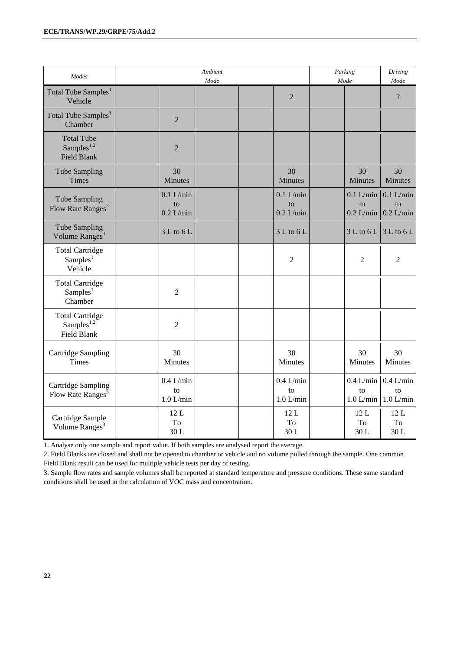| Modes                                                       | <b>Ambient</b><br>Mode           |                                                      | Parking<br>Mode                  | Driving<br>Mode                  |
|-------------------------------------------------------------|----------------------------------|------------------------------------------------------|----------------------------------|----------------------------------|
| Total Tube Samples <sup>1</sup><br>Vehicle                  |                                  | $\overline{2}$                                       |                                  | $\overline{2}$                   |
| Total Tube Samples <sup>1</sup><br>Chamber                  | $\overline{2}$                   |                                                      |                                  |                                  |
| <b>Total Tube</b><br>Samples $^{1,2}$<br><b>Field Blank</b> | $\overline{2}$                   |                                                      |                                  |                                  |
| <b>Tube Sampling</b><br>Times                               | 30<br>Minutes                    | 30<br>Minutes                                        | 30<br>Minutes                    | 30<br>Minutes                    |
| Tube Sampling<br>Flow Rate Ranges <sup>3</sup>              | $0.1$ L/min<br>to<br>$0.2$ L/min | $0.1$ L/min<br>to<br>$0.2$ L/min                     | $0.1$ L/min<br>to<br>$0.2$ L/min | $0.1$ L/min<br>to<br>$0.2$ L/min |
| Tube Sampling<br>Volume Ranges <sup>3</sup>                 | 3 L to 6 L                       | 3 L to 6 L                                           | $3 L$ to $6 L$                   | 3 L to 6 L                       |
| <b>Total Cartridge</b><br>Samples <sup>1</sup><br>Vehicle   |                                  | $\overline{2}$                                       | $\overline{2}$                   | $\overline{2}$                   |
| <b>Total Cartridge</b><br>Samples <sup>1</sup><br>Chamber   | $\overline{2}$                   |                                                      |                                  |                                  |
| <b>Total Cartridge</b><br>Samples $^{1,2}$<br>Field Blank   | $\overline{2}$                   |                                                      |                                  |                                  |
| Cartridge Sampling<br><b>Times</b>                          | 30<br>Minutes                    | 30<br>Minutes                                        | 30<br>Minutes                    | 30<br>Minutes                    |
| Cartridge Sampling<br>Flow Rate Ranges <sup>3</sup>         | $0.4$ L/min<br>to<br>$1.0$ L/min | $0.4$ L/min<br>$\mathop{\mathrm{to}}$<br>$1.0$ L/min | $0.4$ L/min<br>to<br>$1.0$ L/min | $0.4$ L/min<br>to<br>$1.0$ L/min |
| Cartridge Sample<br>Volume Ranges <sup>3</sup>              | 12L<br>To<br>30L                 | 12L<br>To<br>30L                                     | 12L<br>To<br>30L                 | 12L<br>To<br>30L                 |

1. Analyse only one sample and report value. If both samples are analysed report the average.

2. Field Blanks are closed and shall not be opened to chamber or vehicle and no volume pulled through the sample. One common Field Blank result can be used for multiple vehicle tests per day of testing.

3. Sample flow rates and sample volumes shall be reported at standard temperature and pressure conditions. These same standard conditions shall be used in the calculation of VOC mass and concentration.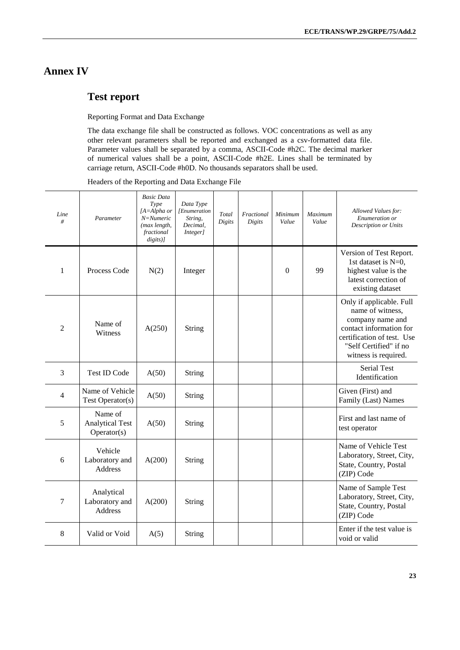### **Annex IV**

### **Test report**

Reporting Format and Data Exchange

The data exchange file shall be constructed as follows. VOC concentrations as well as any other relevant parameters shall be reported and exchanged as a csv-formatted data file. Parameter values shall be separated by a comma, ASCII-Code #h2C. The decimal marker of numerical values shall be a point, ASCII-Code #h2E. Lines shall be terminated by carriage return, ASCII-Code #h0D. No thousands separators shall be used.

Headers of the Reporting and Data Exchange File

| Line<br>#      | Parameter                                        | <b>Basic Data</b><br>Type<br>[A=Alpha or<br>$N =$ Numeric<br>(max length,<br>fractional<br>digits)] | Data Type<br><i>[Enumeration</i><br>String,<br>Decimal,<br><i>Integer]</i> | Total<br>Digits | Fractional<br>Digits | Minimum<br>Value | <b>Maximum</b><br>Value | Allowed Values for:<br>Enumeration or<br><b>Description or Units</b>                                                                                                        |
|----------------|--------------------------------------------------|-----------------------------------------------------------------------------------------------------|----------------------------------------------------------------------------|-----------------|----------------------|------------------|-------------------------|-----------------------------------------------------------------------------------------------------------------------------------------------------------------------------|
| 1              | Process Code                                     | N(2)                                                                                                | Integer                                                                    |                 |                      | $\theta$         | 99                      | Version of Test Report.<br>1st dataset is N=0,<br>highest value is the<br>latest correction of<br>existing dataset                                                          |
| $\overline{2}$ | Name of<br>Witness                               | A(250)                                                                                              | String                                                                     |                 |                      |                  |                         | Only if applicable. Full<br>name of witness,<br>company name and<br>contact information for<br>certification of test. Use<br>"Self Certified" if no<br>witness is required. |
| 3              | <b>Test ID Code</b>                              | A(50)                                                                                               | String                                                                     |                 |                      |                  |                         | <b>Serial Test</b><br>Identification                                                                                                                                        |
| $\overline{4}$ | Name of Vehicle<br>Test Operator(s)              | A(50)                                                                                               | String                                                                     |                 |                      |                  |                         | Given (First) and<br>Family (Last) Names                                                                                                                                    |
| 5              | Name of<br><b>Analytical Test</b><br>Operator(s) | A(50)                                                                                               | String                                                                     |                 |                      |                  |                         | First and last name of<br>test operator                                                                                                                                     |
| 6              | Vehicle<br>Laboratory and<br>Address             | A(200)                                                                                              | String                                                                     |                 |                      |                  |                         | Name of Vehicle Test<br>Laboratory, Street, City,<br>State, Country, Postal<br>(ZIP) Code                                                                                   |
| 7              | Analytical<br>Laboratory and<br><b>Address</b>   | A(200)                                                                                              | String                                                                     |                 |                      |                  |                         | Name of Sample Test<br>Laboratory, Street, City,<br>State, Country, Postal<br>(ZIP) Code                                                                                    |
| 8              | Valid or Void                                    | A(5)                                                                                                | String                                                                     |                 |                      |                  |                         | Enter if the test value is<br>void or valid                                                                                                                                 |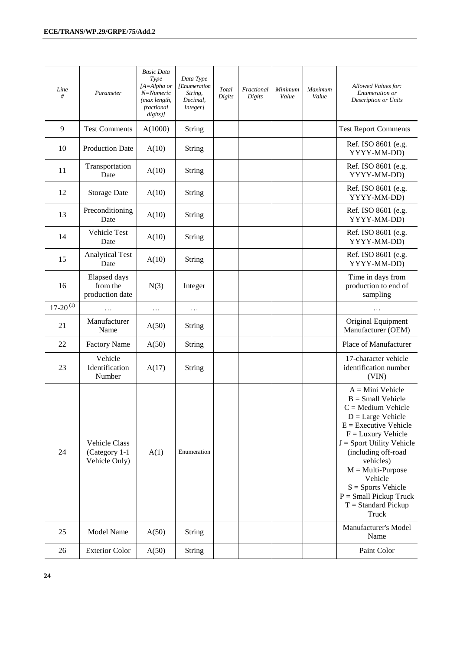| Line<br>#              | Parameter                                              | <b>Basic Data</b><br>Type<br>[A=Alpha or<br>N=Numeric<br>(max length,<br>fractional<br>digits)] | Data Type<br>[Enumeration<br>String,<br>Decimal,<br>Integer] | Total<br>Digits | Fractional<br>Digits | Minimum<br>Value | Maximum<br>Value | Allowed Values for:<br>Enumeration or<br><b>Description or Units</b>                                                                                                                                                                                                                                                                   |
|------------------------|--------------------------------------------------------|-------------------------------------------------------------------------------------------------|--------------------------------------------------------------|-----------------|----------------------|------------------|------------------|----------------------------------------------------------------------------------------------------------------------------------------------------------------------------------------------------------------------------------------------------------------------------------------------------------------------------------------|
| 9                      | <b>Test Comments</b>                                   | A(1000)                                                                                         | String                                                       |                 |                      |                  |                  | <b>Test Report Comments</b>                                                                                                                                                                                                                                                                                                            |
| 10                     | <b>Production Date</b>                                 | A(10)                                                                                           | <b>String</b>                                                |                 |                      |                  |                  | Ref. ISO 8601 (e.g.<br>YYYY-MM-DD)                                                                                                                                                                                                                                                                                                     |
| 11                     | Transportation<br>Date                                 | A(10)                                                                                           | String                                                       |                 |                      |                  |                  | Ref. ISO 8601 (e.g.<br>YYYY-MM-DD)                                                                                                                                                                                                                                                                                                     |
| 12                     | <b>Storage Date</b>                                    | A(10)                                                                                           | String                                                       |                 |                      |                  |                  | Ref. ISO 8601 (e.g.<br>YYYY-MM-DD)                                                                                                                                                                                                                                                                                                     |
| 13                     | Preconditioning<br>Date                                | A(10)                                                                                           | <b>String</b>                                                |                 |                      |                  |                  | Ref. ISO 8601 (e.g.<br>YYYY-MM-DD)                                                                                                                                                                                                                                                                                                     |
| 14                     | Vehicle Test<br>Date                                   | A(10)                                                                                           | String                                                       |                 |                      |                  |                  | Ref. ISO 8601 (e.g.<br>YYYY-MM-DD)                                                                                                                                                                                                                                                                                                     |
| 15                     | <b>Analytical Test</b><br>Date                         | A(10)                                                                                           | <b>String</b>                                                |                 |                      |                  |                  | Ref. ISO 8601 (e.g.<br>YYYY-MM-DD)                                                                                                                                                                                                                                                                                                     |
| 16                     | Elapsed days<br>from the<br>production date            | N(3)                                                                                            | Integer                                                      |                 |                      |                  |                  | Time in days from<br>production to end of<br>sampling                                                                                                                                                                                                                                                                                  |
| $17-20$ <sup>(1)</sup> |                                                        | $\cdots$                                                                                        | $\cdots$                                                     |                 |                      |                  |                  |                                                                                                                                                                                                                                                                                                                                        |
| 21                     | Manufacturer<br>Name                                   | A(50)                                                                                           | <b>String</b>                                                |                 |                      |                  |                  | Original Equipment<br>Manufacturer (OEM)                                                                                                                                                                                                                                                                                               |
| 22                     | <b>Factory Name</b>                                    | A(50)                                                                                           | <b>String</b>                                                |                 |                      |                  |                  | Place of Manufacturer                                                                                                                                                                                                                                                                                                                  |
| 23                     | Vehicle<br>Identification<br>Number                    | A(17)                                                                                           | String                                                       |                 |                      |                  |                  | 17-character vehicle<br>identification number<br>(VIN)                                                                                                                                                                                                                                                                                 |
| 24                     | <b>Vehicle Class</b><br>(Category 1-1<br>Vehicle Only) | A(1)                                                                                            | Enumeration                                                  |                 |                      |                  |                  | $A = Mini$ Vehicle<br>$B = Small$ Vehicle<br>$C =$ Medium Vehicle<br>$D = Large Vehicle$<br>$E =$ Executive Vehicle<br>$F =$ Luxury Vehicle<br>$J =$ Sport Utility Vehicle<br>(including off-road<br>vehicles)<br>$M = Multi-Purpose$<br>Vehicle<br>$S =$ Sports Vehicle<br>$P = Small$ Pickup Truck<br>$T = Standard Pickup$<br>Truck |
| 25                     | <b>Model Name</b>                                      | A(50)                                                                                           | <b>String</b>                                                |                 |                      |                  |                  | Manufacturer's Model<br>Name                                                                                                                                                                                                                                                                                                           |
| 26                     | <b>Exterior Color</b>                                  | A(50)                                                                                           | <b>String</b>                                                |                 |                      |                  |                  | Paint Color                                                                                                                                                                                                                                                                                                                            |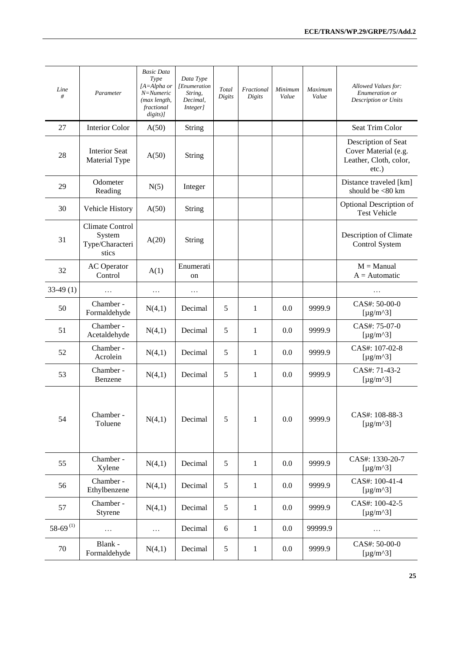| Line<br>#              | Parameter                                             | <b>Basic Data</b><br>Type<br>$[A=Alpha or$<br>N=Numeric<br>(max length,<br>fractional<br>$disits)$ ] | Data Type<br><i>Enumeration</i><br>String,<br>Decimal,<br><i>Integer]</i> | Total<br>Digits | Fractional<br>Digits | Minimum<br>Value | Maximum<br>Value | Allowed Values for:<br>Enumeration or<br><b>Description or Units</b>              |
|------------------------|-------------------------------------------------------|------------------------------------------------------------------------------------------------------|---------------------------------------------------------------------------|-----------------|----------------------|------------------|------------------|-----------------------------------------------------------------------------------|
| 27                     | <b>Interior Color</b>                                 | A(50)                                                                                                | String                                                                    |                 |                      |                  |                  | Seat Trim Color                                                                   |
| 28                     | <b>Interior Seat</b><br>Material Type                 | A(50)                                                                                                | <b>String</b>                                                             |                 |                      |                  |                  | Description of Seat<br>Cover Material (e.g.<br>Leather, Cloth, color,<br>$etc.$ ) |
| 29                     | Odometer<br>Reading                                   | N(5)                                                                                                 | Integer                                                                   |                 |                      |                  |                  | Distance traveled [km]<br>should be <80 km                                        |
| 30                     | Vehicle History                                       | A(50)                                                                                                | <b>String</b>                                                             |                 |                      |                  |                  | Optional Description of<br><b>Test Vehicle</b>                                    |
| 31                     | Climate Control<br>System<br>Type/Characteri<br>stics | A(20)                                                                                                | <b>String</b>                                                             |                 |                      |                  |                  | Description of Climate<br>Control System                                          |
| 32                     | <b>AC</b> Operator<br>Control                         | A(1)                                                                                                 | Enumerati<br>on                                                           |                 |                      |                  |                  | $M =$ Manual<br>$A =$ Automatic                                                   |
| $33-49(1)$             | $\ddotsc$                                             | .                                                                                                    | .                                                                         |                 |                      |                  |                  | $\ddotsc$                                                                         |
| 50                     | Chamber -<br>Formaldehyde                             | N(4,1)                                                                                               | Decimal                                                                   | 5               | 1                    | 0.0              | 9999.9           | CAS#: 50-00-0<br>[ $\mu$ g/m <sup><math>\lambda</math></sup> 3]                   |
| 51                     | Chamber -<br>Acetaldehyde                             | N(4,1)                                                                                               | Decimal                                                                   | 5               | 1                    | 0.0              | 9999.9           | CAS#: 75-07-0<br>[ $\mu$ g/m <sup><math>\lambda</math></sup> 3]                   |
| 52                     | Chamber -<br>Acrolein                                 | N(4,1)                                                                                               | Decimal                                                                   | 5               | 1                    | 0.0              | 9999.9           | CAS#: 107-02-8<br>[ $\mu$ g/m^3]                                                  |
| 53                     | Chamber -<br>Benzene                                  | N(4,1)                                                                                               | Decimal                                                                   | 5               | 1                    | 0.0              | 9999.9           | CAS#: 71-43-2<br>[ $\mu$ g/m <sup><math>\lambda</math></sup> 3]                   |
| 54                     | Chamber -<br>Toluene                                  | N(4,1)                                                                                               | Decimal                                                                   | 5               | $\mathbf{1}$         | 0.0              | 9999.9           | CAS#: 108-88-3<br>[ $\mu$ g/m <sup><math>\lambda</math></sup> 3]                  |
| 55                     | Chamber -<br>Xylene                                   | N(4,1)                                                                                               | Decimal                                                                   | 5               | 1                    | 0.0              | 9999.9           | CAS#: 1330-20-7<br>[ $\mu$ g/m^3]                                                 |
| 56                     | Chamber -<br>Ethylbenzene                             | N(4,1)                                                                                               | Decimal                                                                   | $\sqrt{5}$      | $\mathbf{1}$         | 0.0              | 9999.9           | CAS#: 100-41-4<br>[ $\mu$ g/m^3]                                                  |
| 57                     | Chamber -<br>Styrene                                  | N(4,1)                                                                                               | Decimal                                                                   | $\mathfrak{S}$  | 1                    | 0.0              | 9999.9           | CAS#: 100-42-5<br>[ $\mu$ g/m^3]                                                  |
| $58-69$ <sup>(1)</sup> | $\cdots$                                              | $\cdots$                                                                                             | Decimal                                                                   | $\sqrt{6}$      | $\mathbf{1}$         | 0.0              | 99999.9          | $\cdots$                                                                          |
| 70                     | Blank -<br>Formaldehyde                               | N(4,1)                                                                                               | Decimal                                                                   | $\mathfrak{S}$  | $\mathbf{1}$         | 0.0              | 9999.9           | CAS#: 50-00-0<br>[ $\mu$ g/m <sup><math>\lambda</math></sup> 3]                   |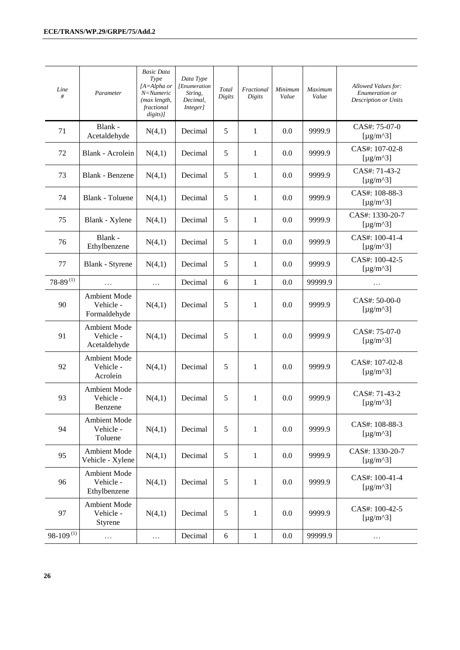| Line<br>#              | Parameter                                        | <b>Basic Data</b><br>Type<br>[A=Alpha or<br>N=Numeric<br>(max length,<br>fractional<br>$disits)$ ] | Data Type<br>[Enumeration<br>String,<br>Decimal,<br><b>Integer</b> ] | Total<br>Digits | Fractional<br>Digits | Minimum<br>Value | Maximum<br>Value | Allowed Values for:<br>Enumeration or<br>Description or Units     |
|------------------------|--------------------------------------------------|----------------------------------------------------------------------------------------------------|----------------------------------------------------------------------|-----------------|----------------------|------------------|------------------|-------------------------------------------------------------------|
| 71                     | Blank -<br>Acetaldehyde                          | N(4,1)                                                                                             | Decimal                                                              | 5               | $\mathbf{1}$         | 0.0              | 9999.9           | CAS#: 75-07-0<br>[ $\mu$ g/m^3]                                   |
| 72                     | Blank - Acrolein                                 | N(4,1)                                                                                             | Decimal                                                              | 5               | $\mathbf{1}$         | 0.0              | 9999.9           | CAS#: 107-02-8<br>[ $\mu$ g/m^3]                                  |
| 73                     | Blank - Benzene                                  | N(4,1)                                                                                             | Decimal                                                              | 5               | $\mathbf{1}$         | 0.0              | 9999.9           | CAS#: 71-43-2<br>[ $\mu$ g/m^3]                                   |
| 74                     | Blank - Toluene                                  | N(4,1)                                                                                             | Decimal                                                              | 5               | 1                    | 0.0              | 9999.9           | CAS#: 108-88-3<br>[ $\mu$ g/m^3]                                  |
| 75                     | Blank - Xylene                                   | N(4,1)                                                                                             | Decimal                                                              | 5               | $\mathbf{1}$         | 0.0              | 9999.9           | CAS#: 1330-20-7<br>[ $\mu$ g/m^3]                                 |
| 76                     | Blank -<br>Ethylbenzene                          | N(4,1)                                                                                             | Decimal                                                              | 5               | 1                    | 0.0              | 9999.9           | CAS#: 100-41-4<br>[ $\mu$ g/m^3]                                  |
| 77                     | Blank - Styrene                                  | N(4,1)                                                                                             | Decimal                                                              | 5               | 1                    | 0.0              | 9999.9           | CAS#: 100-42-5<br>[ $\mu$ g/m^3]                                  |
| $78-89$ <sup>(1)</sup> |                                                  | .                                                                                                  | Decimal                                                              | 6               | $\mathbf{1}$         | 0.0              | 99999.9          | .                                                                 |
| 90                     | <b>Ambient Mode</b><br>Vehicle -<br>Formaldehyde | N(4,1)                                                                                             | Decimal                                                              | 5               | $\mathbf{1}$         | 0.0              | 9999.9           | CAS#: 50-00-0<br>[ $\mu$ g/m^3]                                   |
| 91                     | Ambient Mode<br>Vehicle -<br>Acetaldehyde        | N(4,1)                                                                                             | Decimal                                                              | 5               | 1                    | 0.0              | 9999.9           | CAS#: 75-07-0<br>[ $\mu$ g/m^3]                                   |
| 92                     | <b>Ambient Mode</b><br>Vehicle -<br>Acrolein     | N(4,1)                                                                                             | Decimal                                                              | 5               | 1                    | 0.0              | 9999.9           | CAS#: 107-02-8<br>[ $\mu$ g/m^3]                                  |
| 93                     | <b>Ambient Mode</b><br>Vehicle -<br>Benzene      | N(4,1)                                                                                             | Decimal                                                              | 5               | 1                    | 0.0              | 9999.9           | CAS#: 71-43-2<br>[ $\mu$ g/m^3]                                   |
| 94                     | Ambient Mode<br>Vehicle -<br>Toluene             | N(4,1)                                                                                             | Decimal                                                              | 5               | 1                    | 0.0              | 9999.9           | CAS#: 108-88-3<br>[ $\mu$ g/m^3]                                  |
| 95                     | Ambient Mode<br>Vehicle - Xylene                 | N(4,1)                                                                                             | Decimal                                                              | 5               | $\mathbf{1}$         | 0.0              | 9999.9           | CAS#: 1330-20-7<br>[ $\mu$ g/m <sup><math>\lambda</math></sup> 3] |
| 96                     | Ambient Mode<br>Vehicle -<br>Ethylbenzene        | N(4,1)                                                                                             | Decimal                                                              | 5               | $\mathbf{1}$         | 0.0              | 9999.9           | CAS#: 100-41-4<br>[ $\mu$ g/m <sup><math>\lambda</math></sup> 3]  |
| 97                     | <b>Ambient Mode</b><br>Vehicle -<br>Styrene      | N(4,1)                                                                                             | Decimal                                                              | 5               | $\mathbf{1}$         | 0.0              | 9999.9           | CAS#: 100-42-5<br>[ $\mu$ g/m^3]                                  |
| $98-109^{(1)}$         | $\cdots$                                         | $\cdots$                                                                                           | Decimal                                                              | $\sqrt{6}$      | $\mathbf{1}$         | 0.0              | 99999.9          | .                                                                 |

**26**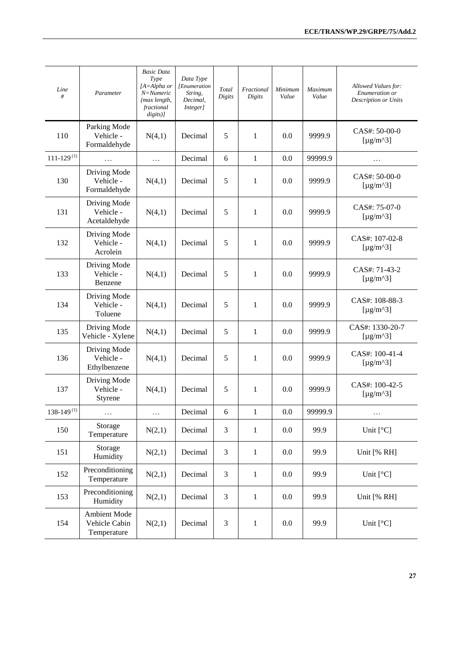| Line<br>#                  | Parameter                                    | <b>Basic Data</b><br>Type<br>$[A=Alpha or$<br>N=Numeric<br>(max length,<br>fractional<br>$disits)$ ] | Data Type<br>[Enumeration<br>String,<br>Decimal,<br>Integer] | Total<br>Digits | Fractional<br>Digits | Minimum<br>Value | Maximum<br>Value | Allowed Values for:<br>Enumeration or<br><b>Description or Units</b> |
|----------------------------|----------------------------------------------|------------------------------------------------------------------------------------------------------|--------------------------------------------------------------|-----------------|----------------------|------------------|------------------|----------------------------------------------------------------------|
| 110                        | Parking Mode<br>Vehicle -<br>Formaldehyde    | N(4,1)                                                                                               | Decimal                                                      | $\sqrt{5}$      | $\mathbf{1}$         | 0.0              | 9999.9           | $CAS#: 50-00-0$<br>[ $\mu$ g/m^3]                                    |
| $111 - 129$ <sup>(1)</sup> |                                              | .                                                                                                    | Decimal                                                      | 6               | 1                    | 0.0              | 99999.9          | .                                                                    |
| 130                        | Driving Mode<br>Vehicle -<br>Formaldehyde    | N(4,1)                                                                                               | Decimal                                                      | $\sqrt{5}$      | 1                    | 0.0              | 9999.9           | CAS#: 50-00-0<br>[ $\mu$ g/m^3]                                      |
| 131                        | Driving Mode<br>Vehicle -<br>Acetaldehyde    | N(4,1)                                                                                               | Decimal                                                      | 5               | $\mathbf{1}$         | 0.0              | 9999.9           | CAS#: 75-07-0<br>[ $\mu$ g/m <sup><math>\lambda</math></sup> 3]      |
| 132                        | Driving Mode<br>Vehicle -<br>Acrolein        | N(4,1)                                                                                               | Decimal                                                      | 5               | $\mathbf{1}$         | 0.0              | 9999.9           | CAS#: 107-02-8<br>[ $\mu$ g/m^3]                                     |
| 133                        | Driving Mode<br>Vehicle -<br>Benzene         | N(4,1)                                                                                               | Decimal                                                      | $\sqrt{5}$      | $\mathbf{1}$         | 0.0              | 9999.9           | CAS#: 71-43-2<br>[ $\mu$ g/m^3]                                      |
| 134                        | Driving Mode<br>Vehicle -<br>Toluene         | N(4,1)                                                                                               | Decimal                                                      | 5               | $\mathbf{1}$         | 0.0              | 9999.9           | CAS#: 108-88-3<br>[ $\mu$ g/m^3]                                     |
| 135                        | Driving Mode<br>Vehicle - Xylene             | N(4,1)                                                                                               | Decimal                                                      | $\sqrt{5}$      | $\mathbf{1}$         | 0.0              | 9999.9           | CAS#: 1330-20-7<br>[ $\mu$ g/m^3]                                    |
| 136                        | Driving Mode<br>Vehicle -<br>Ethylbenzene    | N(4,1)                                                                                               | Decimal                                                      | $\sqrt{5}$      | $\mathbf{1}$         | 0.0              | 9999.9           | CAS#: 100-41-4<br>[ $\mu$ g/m^3]                                     |
| 137                        | Driving Mode<br>Vehicle -<br>Styrene         | N(4,1)                                                                                               | Decimal                                                      | 5               | 1                    | 0.0              | 9999.9           | CAS#: 100-42-5<br>[ $\mu$ g/m^3]                                     |
| $138 - 149^{(1)}$          | $\ldots$                                     | $\ldots$                                                                                             | Decimal                                                      | 6               | $\mathbf{1}$         | 0.0              | 99999.9          | .                                                                    |
| 150                        | Storage<br>Temperature                       | N(2,1)                                                                                               | Decimal                                                      | $\mathfrak{Z}$  | $\mathbf{1}$         | $0.0\,$          | 99.9             | Unit $[°C]$                                                          |
| 151                        | Storage<br>Humidity                          | N(2,1)                                                                                               | Decimal                                                      | $\mathfrak{Z}$  | $\mathbf{1}$         | 0.0              | 99.9             | Unit [% RH]                                                          |
| 152                        | Preconditioning<br>Temperature               | N(2,1)                                                                                               | Decimal                                                      | 3               | $\mathbf{1}$         | 0.0              | 99.9             | Unit $[°C]$                                                          |
| 153                        | Preconditioning<br>Humidity                  | N(2,1)                                                                                               | Decimal                                                      | 3               | $\mathbf{1}$         | 0.0              | 99.9             | Unit [% RH]                                                          |
| 154                        | Ambient Mode<br>Vehicle Cabin<br>Temperature | N(2,1)                                                                                               | Decimal                                                      | $\mathfrak{Z}$  | $\mathbf{1}$         | 0.0              | 99.9             | Unit $[°C]$                                                          |